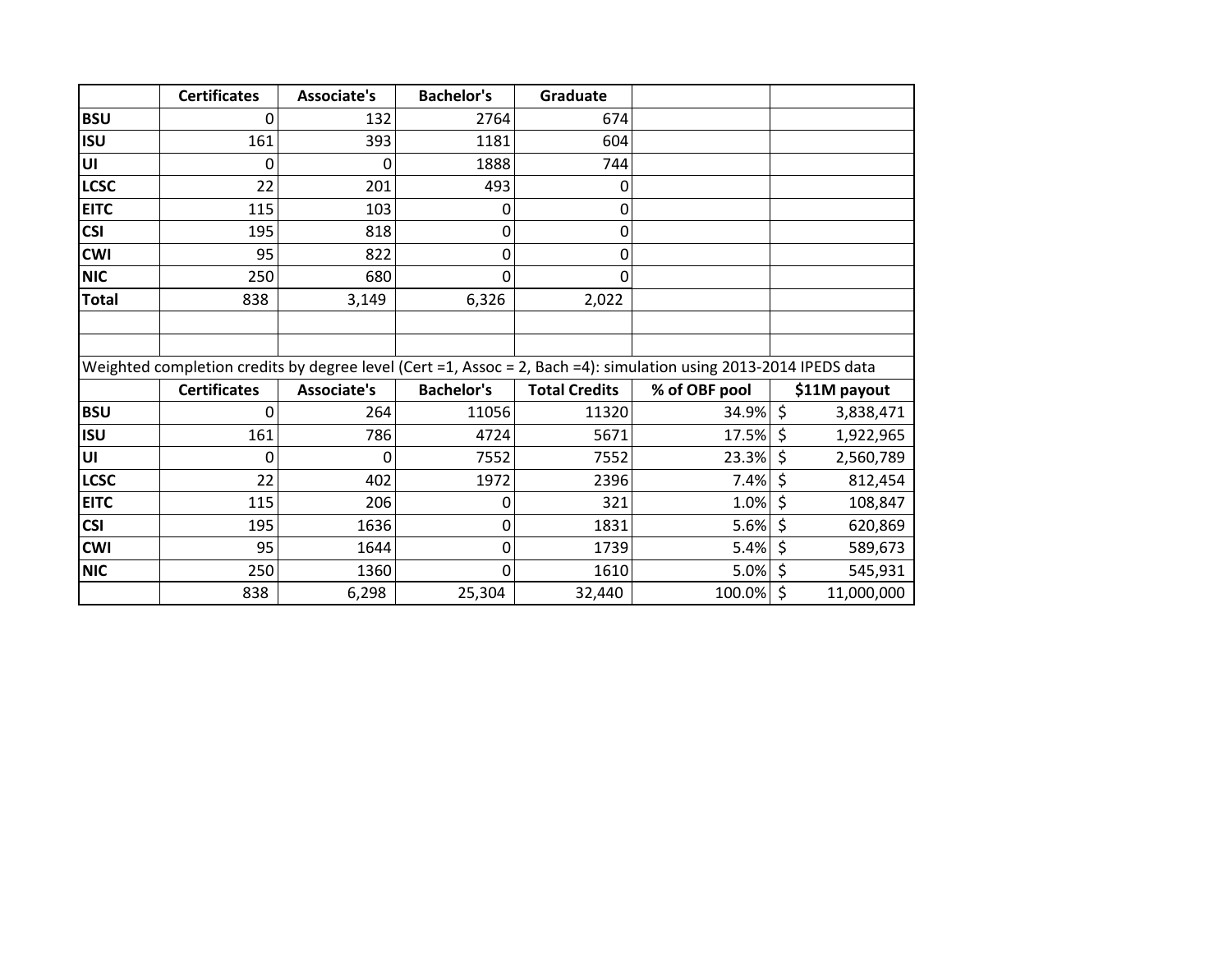|              | <b>Certificates</b>                                                                                              | <b>Associate's</b> | <b>Bachelor's</b> | Graduate             |               |              |            |
|--------------|------------------------------------------------------------------------------------------------------------------|--------------------|-------------------|----------------------|---------------|--------------|------------|
| <b>BSU</b>   | 0                                                                                                                | 132                | 2764              | 674                  |               |              |            |
| <b>ISU</b>   | 161                                                                                                              | 393                | 1181              | 604                  |               |              |            |
| UI           | 0                                                                                                                | 0                  | 1888              | 744                  |               |              |            |
| <b>LCSC</b>  | 22                                                                                                               | 201                | 493               | 0                    |               |              |            |
| <b>EITC</b>  | 115                                                                                                              | 103                | 0                 | 0                    |               |              |            |
| <b>CSI</b>   | 195                                                                                                              | 818                | 0                 | 0                    |               |              |            |
| <b>CWI</b>   | 95                                                                                                               | 822                | 0                 | 0                    |               |              |            |
| <b>NIC</b>   | 250                                                                                                              | 680                | 0                 | $\mathbf{0}$         |               |              |            |
| <b>Total</b> | 838                                                                                                              | 3,149              | 6,326             | 2,022                |               |              |            |
|              |                                                                                                                  |                    |                   |                      |               |              |            |
|              |                                                                                                                  |                    |                   |                      |               |              |            |
|              | Weighted completion credits by degree level (Cert =1, Assoc = 2, Bach =4): simulation using 2013-2014 IPEDS data |                    |                   |                      |               |              |            |
|              | <b>Certificates</b>                                                                                              | <b>Associate's</b> | <b>Bachelor's</b> | <b>Total Credits</b> | % of OBF pool | \$11M payout |            |
| <b>BSU</b>   | Ω                                                                                                                | 264                | 11056             | 11320                | 34.9%         | \$           | 3,838,471  |
| <b>ISU</b>   | 161                                                                                                              | 786                | 4724              | 5671                 | 17.5%         | \$           | 1,922,965  |
| UI           | 0                                                                                                                | 0                  | 7552              | 7552                 | 23.3%         | \$           | 2,560,789  |
| <b>LCSC</b>  | 22                                                                                                               | 402                | 1972              | 2396                 | 7.4%          | \$           | 812,454    |
| <b>EITC</b>  | 115                                                                                                              | 206                | 0                 | 321                  | 1.0%          | \$           | 108,847    |
| <b>CSI</b>   | 195                                                                                                              | 1636               | 0                 | 1831                 | 5.6%          | \$           | 620,869    |
| <b>CWI</b>   | 95                                                                                                               | 1644               | 0                 | 1739                 | 5.4%          | \$           | 589,673    |
| <b>NIC</b>   | 250                                                                                                              | 1360               | $\mathbf 0$       | 1610                 | 5.0%          | \$           | 545,931    |
|              | 838                                                                                                              | 6,298              | 25,304            | 32,440               | 100.0%        | \$           | 11,000,000 |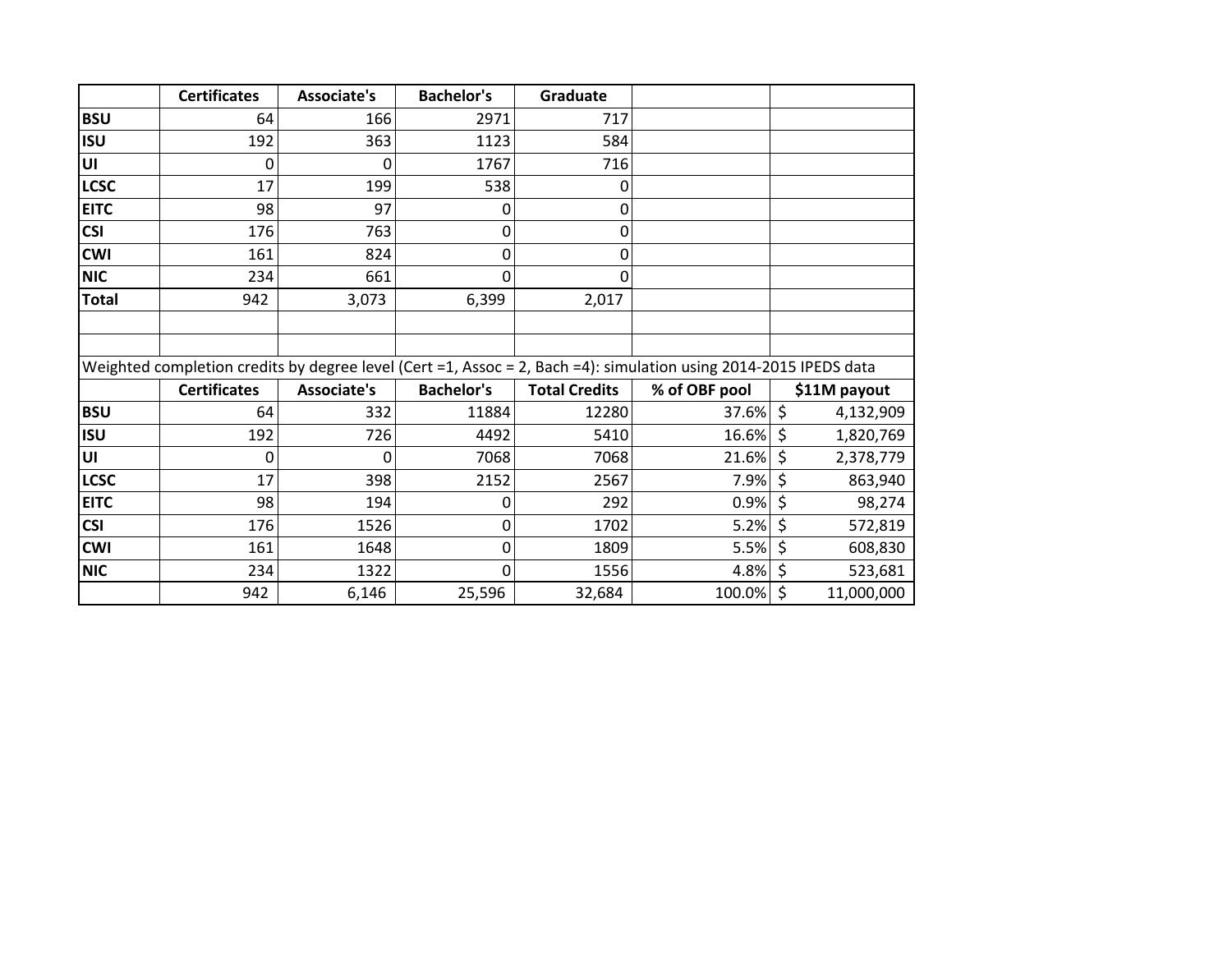|              | <b>Certificates</b>                                                                                              | <b>Associate's</b> | <b>Bachelor's</b> | Graduate             |               |         |              |
|--------------|------------------------------------------------------------------------------------------------------------------|--------------------|-------------------|----------------------|---------------|---------|--------------|
| <b>BSU</b>   | 64                                                                                                               | 166                | 2971              | 717                  |               |         |              |
| <b>ISU</b>   | 192                                                                                                              | 363                | 1123              | 584                  |               |         |              |
| UI           | 0                                                                                                                | 0                  | 1767              | 716                  |               |         |              |
| <b>LCSC</b>  | 17                                                                                                               | 199                | 538               | 0                    |               |         |              |
| <b>EITC</b>  | 98                                                                                                               | 97                 | 0                 | 0                    |               |         |              |
| <b>CSI</b>   | 176                                                                                                              | 763                | 0                 | 0                    |               |         |              |
| <b>CWI</b>   | 161                                                                                                              | 824                | 0                 | 0                    |               |         |              |
| <b>NIC</b>   | 234                                                                                                              | 661                | $\mathbf 0$       | 0                    |               |         |              |
| <b>Total</b> | 942                                                                                                              | 3,073              | 6,399             | 2,017                |               |         |              |
|              |                                                                                                                  |                    |                   |                      |               |         |              |
|              |                                                                                                                  |                    |                   |                      |               |         |              |
|              | Weighted completion credits by degree level (Cert =1, Assoc = 2, Bach =4): simulation using 2014-2015 IPEDS data |                    |                   |                      |               |         |              |
|              | <b>Certificates</b>                                                                                              | <b>Associate's</b> | <b>Bachelor's</b> | <b>Total Credits</b> | % of OBF pool |         | \$11M payout |
| <b>BSU</b>   | 64                                                                                                               | 332                | 11884             | 12280                | 37.6%         | $\zeta$ | 4,132,909    |
| <b>ISU</b>   | 192                                                                                                              | 726                | 4492              | 5410                 | 16.6%         | \$      | 1,820,769    |
| lυι          | 0                                                                                                                | 0                  | 7068              | 7068                 | 21.6%         | \$      | 2,378,779    |
| <b>LCSC</b>  | 17                                                                                                               | 398                | 2152              | 2567                 | 7.9%          | \$      | 863,940      |
| <b>EITC</b>  | 98                                                                                                               | 194                | 0                 | 292                  | 0.9%          | $\zeta$ | 98,274       |
| <b>CSI</b>   | 176                                                                                                              | 1526               | 0                 | 1702                 | 5.2%          | \$      | 572,819      |
| <b>CWI</b>   | 161                                                                                                              | 1648               | 0                 | 1809                 | 5.5%          | \$      | 608,830      |
| <b>NIC</b>   | 234                                                                                                              | 1322               | $\mathbf 0$       | 1556                 | 4.8%          | \$      | 523,681      |
|              | 942                                                                                                              | 6,146              | 25,596            | 32,684               | 100.0%        | \$      | 11,000,000   |